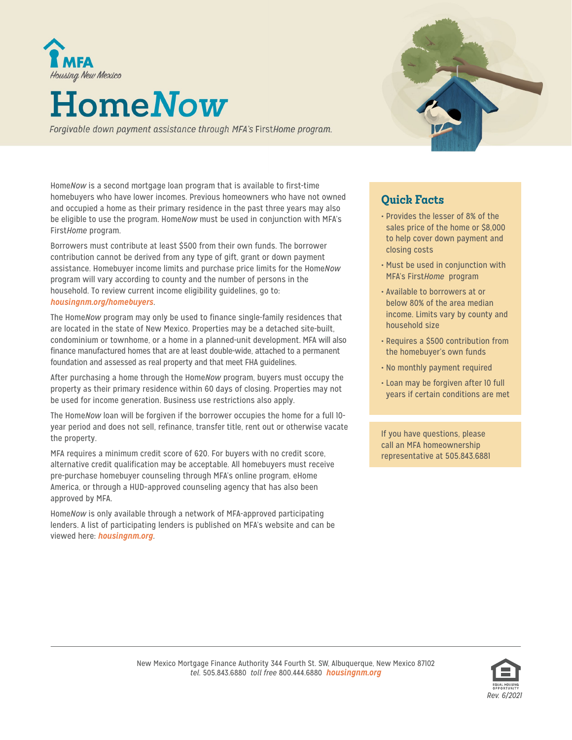

## **HomeNow**

Forgivable down payment assistance through MFA's FirstHome program.

Home*Now* is a second mortgage loan program that is available to first-time homebuyers who have lower incomes. Previous homeowners who have not owned and occupied a home as their primary residence in the past three years may also be eligible to use the program. Home*Now* must be used in conjunction with MFA's First*Home* program.

Borrowers must contribute at least \$500 from their own funds. The borrower contribution cannot be derived from any type of gift, grant or down payment assistance. Homebuyer income limits and purchase price limits for the Home*Now* program will vary according to county and the number of persons in the household. To review current income eligibility guidelines, go to: *[housingnm.org/homebuyers](https://www.housingnm.org/homebuyers/home-buyers)*.

The Home*Now* program may only be used to finance single-family residences that are located in the state of New Mexico. Properties may be a detached site-built, condominium or townhome, or a home in a planned-unit development. MFA will also finance manufactured homes that are at least double-wide, attached to a permanent foundation and assessed as real property and that meet FHA guidelines.

After purchasing a home through the Home*Now* program, buyers must occupy the property as their primary residence within 60 days of closing. Properties may not be used for income generation. Business use restrictions also apply.

The Home*Now* loan will be forgiven if the borrower occupies the home for a full 10 year period and does not sell, refinance, transfer title, rent out or otherwise vacate the property.

MFA requires a minimum credit score of 620. For buyers with no credit score, alternative credit qualification may be acceptable. All homebuyers must receive pre-purchase homebuyer counseling through MFA's online program, eHome America, or through a HUD–approved counseling agency that has also been approved by MFA.

Home*Now* is only available through a network of MFA-approved participating lenders. A list of participating lenders is published on MFA's website and can be viewed here: *[housingnm.org](https://housingnm.org/)*.



## **Quick Facts**

- Provides the lesser of 8% of the sales price of the home or \$8,000 to help cover down payment and closing costs
- Must be used in conjunction with MFA's First*Home* program
- Available to borrowers at or below 80% of the area median income. Limits vary by county and household size
- Requires a \$500 contribution from the homebuyer's own funds
- No monthly payment required
- Loan may be forgiven after 10 full years if certain conditions are met

If you have questions, please call an MFA homeownership representative at 505.843.6881